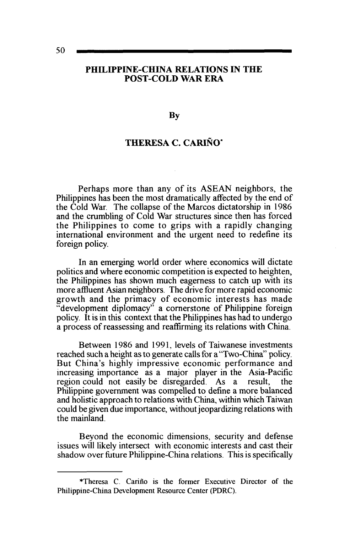### **PHILIPPINE-CHINA RELATIONS IN THE POST-COLD WAR ERA**

**By** 

# **THERESA C. CARINO\***

Perhaps more than any of its ASEAN neighbors, the Philippines has been the most dramatically affected by the end of the Cold War. The collapse of the Marcos dictatorship in 1986 and the crumbling of Cold War structures since then has forced the Philippines to come to grips with a rapidly changing international environment and the urgent need to redefine its foreign policy.

In an emerging world order where economics will dictate politics and where economic competition is expected to heighten, the Philippines has shown much eagerness to catch up with its more affluent Asian neighbors. The drive for more rapid economic growth and the primacy of economic interests has made "development diplomacy" a cornerstone of Philippine foreign policy. It is in this context that the Philippines has had to undergo a process of reassessing and reaffirming its relations with China.

Between 1986 and 1991, levels of Taiwanese investments reached such a height as to generate calls for a "Two-China" policy. But China's highly impressive economic performance and increasing importance as a major player in the Asia-Pacific region could not easily be disregarded. As a result, the Philippine government was compelled to define a more balanced and holistic approach to relations with China, within which Taiwan could be given due importance, without jeopardizing relations with the mainland.

Beyond the economic dimensions, security and defense issues will likely intersect with economic interests and cast their shadow over future Philippine-China relations. This is specifically

<sup>\*</sup>Theresa C. Carino is the former Executive Director of the Philippine-China Development Resource Center (PDRC).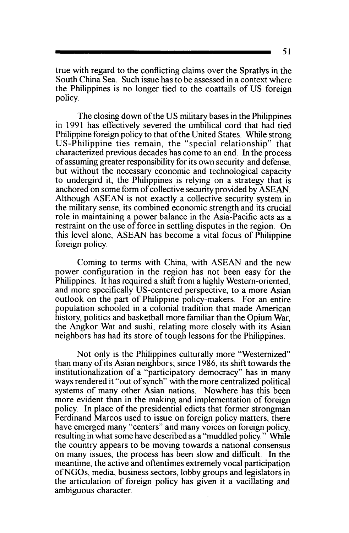true with regard to the conflicting claims over the Spratlys in the South China Sea. Such issue has to be assessed in a context where the Philippines is no longer tied to the coattails of US foreign policy.

The closing down of the US military bases in the Philippines in 1991 has effectively severed the umbilical cord that had tied Philippine foreign policy to that of the United States. While strong US-Philippine ties remain, the "special relationship" that characterized previous decades has come to an end. In the process of assuming greater responsibility for its own security and defense, but without the necessary economic and technological capacity to undergird it, the Philippines is relying on a strategy that is anchored on some form of collective security provided by ASEAN. Although ASEAN is not exactly a collective security system in the military sense, its combined economic strength and its crucial role in maintaining a power balance in the Asia-Pacific acts as a restraint on the use of force in settling disputes in the region. On this level alone. ASEAN has become a vital focus of Philippine foreign policy.

Coming to terms with China, with ASEAN and the new power configuration in the region has not been easy for the Philippines. It has required a shift from a highly Western-oriented, and more specifically US-centered perspective, to a more Asian outlook on the part of Philippine policy-makers. For an entire population schooled in a colonial tradition that made American history, politics and basketball more familiar than the Opium War, the Angkor Wat and sushi, relating more closely with its Asian neighbors has had its store of tough lessons for the Philippines.

Not only is the Philippines culturally more "Westernized" than many of its Asian neighbors; since 1986, its shift towards the institutionalization of a "participatory democracy" has in many ways rendered it "out of synch" with the more centralized political systems of many other Asian nations. Nowhere has this been more evident than in the making and implementation of foreign policy. In place of the presidential edicts that former strongman Ferdinand Marcos used to issue on foreign policy matters, there have emerged many "centers" and many voices on foreign policy, resulting in what some have described as a "muddled policy." While the country appears to be moving towards a national consensus on many issues, the process has been slow and difficult. In the meantime, the active and oftentimes extremely vocal participation ofNGOs, media, business sectors, lobby groups and legislators in the articulation of foreign policy has given it a vacillating and ambiguous character.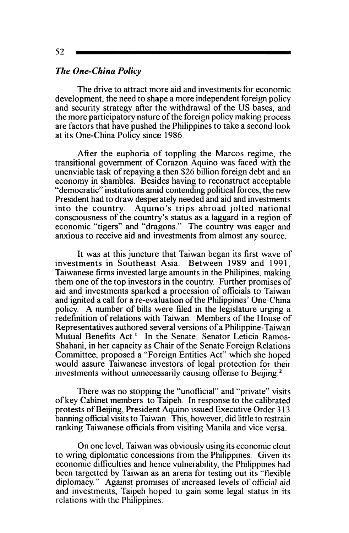## *The One-China Policy*

The drive to attract more aid and investments for economic development, the need to shape a more independent foreign policy and security strategy after the withdrawal of the US bases, and the more participatory nature of the foreign policy making process are factors that have pushed the Philippines to take a second look at its One-China Policy since 1986.

After the euphoria of toppling the Marcos regime, the transitional government of Corazon Aquino was faced with the unenviable task of repaying a then \$26 billion foreign debt and an economy in shambles. Besides having to reconstruct acceptable "democratic" institutions amid contending political forces, the new President had to draw desperately needed and aid and investments into the country. Aquino's trips abroad jolted national consciousness of the country's status as a laggard in a region of economic "tigers" and "dragons." The country was eager and anxious to receive aid and investments from almost any source.

It was at this juncture that Taiwan began its first wave of investments in Southeast Asia. Between 1989 and 1991, Taiwanese firms invested large amounts in the Philipines. making them one of the top investors in the country. Further promises of aid and investments sparked a procession of officials to Taiwan and ignited a call for a re-evaluation of the Philippines' One-China policy. A number of bills were filed in the legislature urging a redefinition of relations with Taiwan. Members of the House of Representatives authored several versions of a Philippine-Taiwan Mutual Benefits Act.<sup>1</sup> In the Senate, Senator Leticia Ramos-Shahani, in her capacity as Chair of the Senate Foreign Relations Committee, proposed a "Foreign Entities Act" which she hoped would assure Taiwanese investors of legal protection for their investments without unnecessarily causing offense to Beijing. <sup>2</sup>

There was no stopping the "unofficial" and "private" visits of key Cabinet members to Taipeh. In response to the calibrated protests ofBeijing, President Aquino issued Executive Order 3 13 banning official visits to Taiwan. This, however. did little to restrain ranking Taiwanese officials from visiting Manila and vice versa.

On one level, Taiwan was obviously using its economic clout to wring diplomatic concessions from the Philippines. Given its economic difficulties and hence vulnerability, the Philippines had been targetted by Taiwan as an arena for testing out its "flexible diplomacy." Against promises of increased levels of official aid and investments, Taipeh hoped to gain some legal status in its relations with the Philippines.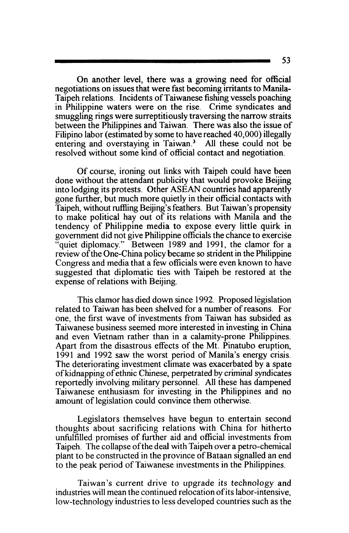On another level, there was a growing need for official negotiations on issues that were fast becoming irritants to Manila-Taipeh relations. Incidents ofTaiwanese fishing vessels poaching in Philippine waters were on the rise. Crime syndicates and smuggling rings were surreptitiously traversing the narrow straits between the Philippines and Taiwan. There was also the issue of Filipino labor (estimated by some to have reached 40,000) illegally entering and overstaying in Taiwan.<sup>3</sup> All these could not be resolved without some kind of official contact and negotiation.

Of course, ironing out links with Taipeh could have been done without the attendant publicity that would provoke Beijing into lodging its protests. Other ASEAN countries had apparently gone further, but much more quietly in their official contacts with Taipeh, without ruftling Beijing's feathers. But Taiwan's propensity to make political hay out of its relations with Manila and the tendency of Philippine media to expose every little quirk in government did not give Philippine officials the chance to exercise quiet diplomacy." Between 1989 and 1991, the clamor for a review of the One-China policy became so strident in the Philippine Congress and media that a few officials were even known to have suggested that diplomatic ties with Taipeh be restored at the expense of relations with Beijing.

This clamor has died down since 1992. Proposed legislation related to Taiwan has been shelved for a number of reasons. For one, the first wave of investments from Taiwan has subsided as Taiwanese business seemed more interested in investing in China and even Vietnam rather than in a calamity-prone Philippines. Apart from the disastrous effects of the Mt. Pinatubo eruption, 1991 and 1992 saw the worst period of Manila's energy crisis. The deteriorating investment climate was exacerbated by a spate ofkidnapping of ethnic Chinese, perpetrated by criminal syndicates reportedly involving military personnel. All these has dampened Taiwanese enthusiasm for investing in the Philippines and no amount of legislation could convince them otherwise.

Legislators themselves have begun to entertain second thoughts about sacrificing relations with China for hitherto unfulfilled promises of further aid and official investments from Taipeh. The collapse ofthe deal with Taipeh over a petro-chemical plant to be constructed in the province of Bataan signalled an end to the peak period of Taiwanese investments in the Philippines.

Taiwan's current drive to upgrade its technology and industries will mean the continued relocation of its labor-intensive, low-technology industries to less developed countries such as the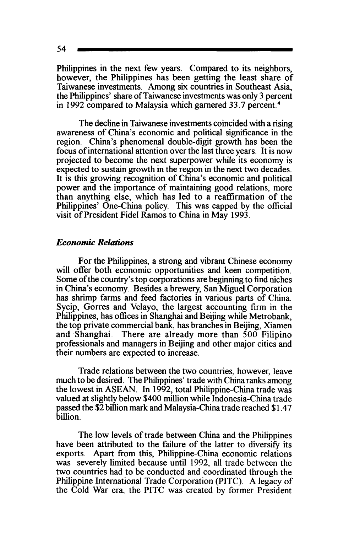Philippines in the next few years. Compared to its neighbors, however, the Philippines has been getting the least share of Taiwanese investments. Among six countries in Southeast Asia, the Philippines' share of Taiwanese investments was only 3 percent in 1992 compared to Malaysia which garnered 33.7 percent. <sup>4</sup>

The decline in Taiwanese investments coincided with a rising awareness of China's economic and political significance in the region. China's phenomenal double-digit growth has been the focus of international attention over the last three years. It is now projected to become the next superpower while its economy is expected to sustain growth in the region in the next two decades. It is this growing recognition of China's economic and political power and the importance of maintaining good relations, more than anything else, which has led to a reaffirmation of the Philippines' One-China policy. This was capped by the official visit of President Fidel Ramos to China in May 1993.

#### *Economic Relations*

For the Philippines, a strong and vibrant Chinese economy will offer both economic opportunities and keen competition. Some of the country's top corporations are beginning to find niches in China's economy. Besides a brewery, San Miguel Corporation has shrimp farms and feed factories in various parts of China. Sycip, Gorres and Velayo, the largest accounting firm in the Philippines, has offices in Shanghai and Beijing while Metrobank, the top private commercial bank, has branches in Beijing, Xiamen and Shanghai. There are already more than 500 Filipino professionals and managers in Beijing and other major cities and their numbers are expected to increase.

Trade relations between the two countries, however, leave much to be desired. The Philippines' trade with China ranks among the lowest in ASEAN. In 1992, total Philippine-China trade was valued at slightly below \$400 million while Indonesia-China trade passed the \$2 billion mark and Malaysia-China trade reached \$1.47 billion.

The low levels of trade between China and the Philippines have been attributed to the failure of the latter to diversify its exports. Apart from this, Philippine-China economic relations was severely limited because until 1992, all trade between the two countries had to be conducted and coordinated through the Philippine International Trade Corporation (PITC). A legacy of the Cold War era, the PITC was created by former President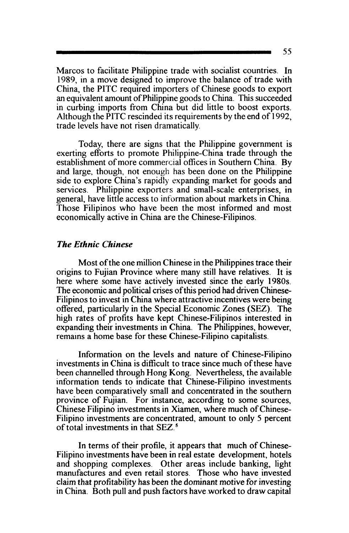Marcos to facilitate Philippine trade with socialist countries. In 1989, in a move designed to improve the balance of trade with China, the PITC required importers of Chinese goods to export an equivalent amount ofPhilippine goods to China. This succeeded in curbing imports from China but did little to boost exports. Although the PITC rescinded its requirements by the end of 1992, trade levels have not risen dramatically.

Today, there are signs that the Philippine government is exerting efforts to promote Philippine-China trade through the establishment of more commercial offices in Southern China. By and large, though, not enough has been done on the Philippine side to explore China's rapidly expanding market for goods and services. Philippine exporters and small-scale enterprises, in general, have little access to information about markets in China. Those Filipinos who have been the most informed and most economically active in China are the Chinese-Filipinos.

#### *The Ethnic Chinese*

Most of the one million Chinese in the Philippines trace their origins to Fujian Province where many still have relatives. It is here where some have actively invested since the early 1980s. The economic and political crises of this period had driven Chinese-Filipinos to invest in China where attractive incentives were being offered, particularly in the Special Economic Zones (SEZ). The high rates of profits have kept Chinese-Filipinos interested in expanding their investments in China. The Philippines, however, remams a home base for these Chinese-Filipino capitalists.

Information on the levels and nature of Chinese-Filipino investments in China is difficult to trace since much of these have been channelled through Hong Kong. Nevertheless, the available information tends to indicate that Chinese-Filipino investments have been comparatively small and concentrated in the southern province of Fujian. For instance, according to some sources, Chinese Filipino investments in Xiamen, where much of Chinese-Filipino investments are concentrated, amount to only 5 percent of total investments in that SEZ. 5

In terms of their profile, it appears that much of Chinese-Filipino investments have been in real estate development, hotels and shopping complexes. Other areas include banking, light manufactures and even retail stores. Those who have invested claim that profitability has been the dominant motive for investing in China. Both pull and push factors have worked to draw capital

55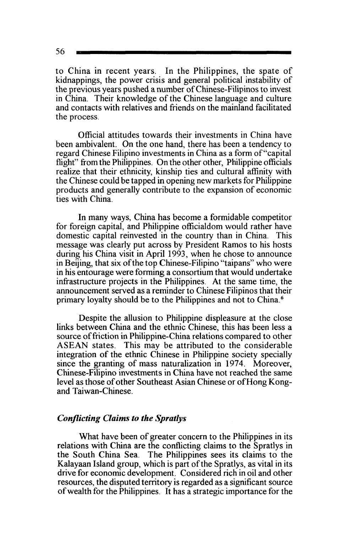to China in recent years. In the Philippines, the spate of kidnappings, the power crisis and general political instability of the previous years pushed a number ofChinese-Filipinos to invest in China. Their knowledge of the Chinese language and culture and contacts with relatives and friends on the mainland facilitated the process.

Official attitudes towards their investments in China have been ambivalent. On the one hand, there has been a tendency to regard Chinese Filipino investments in China as a form of"capital flight" from the Philippines. On the other other, Philippine officials realize that their ethnicity, kinship ties and cultural affinity with the Chinese could be tapped in opening new markets for Philippine products and generally contribute to the expansion of economic ties with China.

In many ways, China has become a formidable competitor for foreign capital, and Philippine officialdom would rather have domestic capital reinvested in the country than in China. This message was clearly put across by President Ramos to his hosts during his China visit in April 1993, when he chose to announce in Beijing, that six of the top Chinese-Filipino "taipans" who were in his entourage were forming a consortium that would undertake infrastructure projects in the Philippines. At the same time, the announcement served as a reminder to Chinese Filipinos that their primary loyalty should be to the Philippines and not to China.6

Despite the allusion to Philippine displeasure at the close links between China and the ethnic Chinese, this has been less a source of friction in Philippine-China relations compared to other ASEAN states. This may be attributed to the considerable integration of the ethnic Chinese in Philippine society specially since the granting of mass naturalization in 1974. Moreover, Chinese-Filipino investments in China have not reached the same level as those of other Southeast Asian Chinese or of Hong Kongand Taiwan-Chinese.

#### *Conflicting Claims to the Spratlys*

What have been of greater concern to the Philippines in its relations with China are the conflicting claims to the Spratlys in the South China Sea. The Philippines sees its claims to the Kalayaan Island group, which is part of the Spratlys, as vital in its drive for economic development. Considered rich in oil and other resources, the disputed territory is regarded as a significant source of wealth for the Philippines. It has a strategic importance for the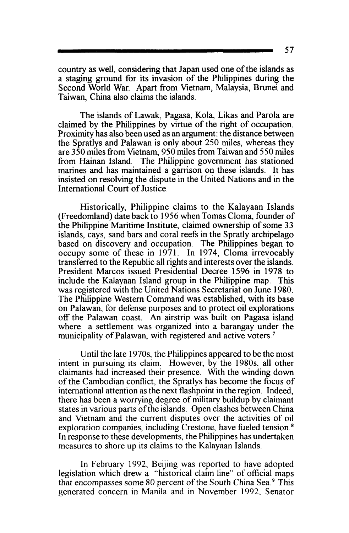country as well, considering that Japan used one of the islands as a staging ground for its invasion of the Philippines during the Second World War. Apart from Vietnam, Malaysia, Brunei and Taiwan, China also claims the islands.

The islands of Lawak, Pagasa, Kola, Likas and Parola are claimed by the Philippines by virtue of the right of occupation. Proximity has also been used as an argument: the distance between the Spratlys and Palawan is only about 250 miles, whereas they are 350 miles from Vietnam, 950 miles from Taiwan and 550 miles from Hainan Island. The Philippine government has stationed marines and has maintained a garrison on these islands. It has insisted on resolving the dispute in the United Nations and in the International Court of Justice.

Historically, Philippine claims to the Kalayaan Islands (Freedomland) date back to 1956 when Tomas Cloma, founder of the Philippine Maritime Institute, claimed ownership of some 33 islands, cays, sand bars and coral reefs in the Spratly archipelago based on discovery and occupation. The Philippines began to occupy some of these in 1971. In 1974, Cloma irrevocably transferred to the Republic all rights and interests over the islands. President Marcos issued Presidential Decree 1596 in 1978 to include the Kalayaan Island group in the Philippine map. This was registered with the United Nations Secretariat on June 1980. The Philippine Western Command was established, with its base on Palawan, for defense purposes and to protect oil explorations off the Palawan coast. An airstrip was built on Pagasa island where a settlement was organized into a barangay under the municipality of Palawan, with registered and active voters.<sup>7</sup>

Until the late 1970s, the Philippines appeared to be the most intent in pursuing its claim. However, by the 1980s, all other claimants had increased their presence. With the winding down of the Cambodian conflict, the Spratlys has become the focus of international attention as the next flashpoint in the region. Indeed, there has been a worrying degree of military buildup by claimant states in various parts of the islands. Open clashes between China and Vietnam and the current disputes over the activities of oil exploration companies, including Crestone, have fueled tension. 8 In response to these developments. the Philippines has undertaken measures to shore up its claims to the Kalayaan Islands.

In February 1992, Beijing was reported to have adopted legislation which drew a "historical claim line" of official maps that encompasses some 80 percent of the South China Sea. 9 This generated concern in Manila and in November 1992. Senator

57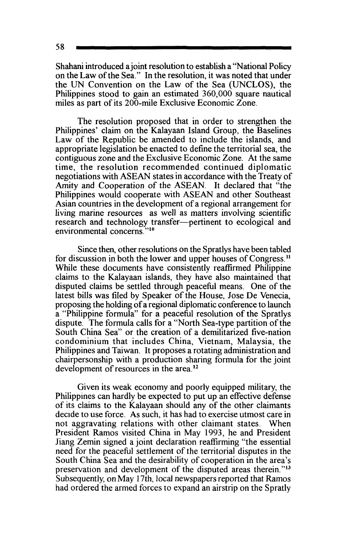Shahani introduced a joint resolution to establish a ''National Policy on the Law of the Sea." In the resolution, it was noted that under the UN Convention on the Law of the Sea (UNCLOS), the Philippines stood to gain an estimated 360,000 square nautical miles as part of its 200-mile Exclusive Economic Zone.

The resolution proposed that in order to strengthen the Philippines' claim on the Kalayaan Island Group, the Baselines Law of the Republic be amended to include the islands, and appropriate legislation be enacted to define the territorial sea, the contiguous zone and the Exclusive Economic Zone. At the same time, the resolution recommended continued diplomatic negotiations with ASEAN states in accordance with the Treaty of Amity and Cooperation of the ASEAN. It declared that "the Philippines would cooperate with ASEAN and other Southeast Asian countries in the development of a regional arrangement for living marine resources as well as matters involving scientific research and technology transfer--pertinent to ecological and environmental concerns."<sup>10</sup>

Since then, other resolutions on the Spratlys have been tabled for discussion in both the lower and upper houses of Congress. <sup>11</sup> While these documents have consistently reaffirmed Philippine claims to the Kalayaan islands, they have also maintained that disputed claims be settled through peaceful means. One of the latest bills was filed by Speaker of the House, Jose De Venecia, proposing the holding of a regional diplomatic conference to launch a "Philippine formula" for a peaceful resolution of the Spratlys dispute. The formula calls for a "North Sea-type partition of the South China Sea" or the creation of a demilitarized five-nation condominium that includes China, Vietnam, Malaysia, the Philippines and Taiwan. It proposes a rotating administration and chairpersonship with a production sharing formula for the joint development of resources in the area. 12

Given its weak economy and poorly equipped military, the Philippines can hardly be expected to put up an effective defense of its claims to the Kalayaan should any of the other claimants decide to use force. As such, it has had to exercise utmost care in not aggravating relations with other claimant states. When President Ramos visited China in May 1993, he and President Jiang Zemin signed a joint declaration reaffirming "the essential need for the peaceful settlement of the territorial disputes in the South China Sea and the desirability of cooperation in the area's preservation and development of the disputed areas therein."<sup>13</sup> Subsequently, on May 17th, local newspapers reported that Ramos had ordered the armed forces to expand an airstrip on the Spratly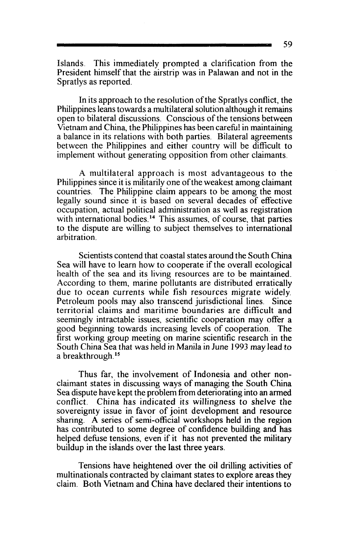Islands\_ This immediately prompted a clarification from the President himself that the airstrip was in Palawan and not in the Spratlys as reported.

In its approach to the resolution of the Spratlys conflict, the Philippines leans towards a multilateral solution although it remains open to bilateral discussions. Conscious of the tensions between Vietnam and China, the Philippines has been careful in maintaining a balance in its relations with both parties. Bilateral agreements between the Philippines and either country will be difficult to implement without generating opposition from other claimants.

A multilateral approach is most advantageous to the Philippines since it is militarily one of the weakest among claimant countries. The Philippine claim appears to be among the most legally sound since it is based on several decades of effective occupation, actual political administration as well as registration with international bodies.<sup>14</sup> This assumes, of course, that parties to the dispute are willing to subject themselves to international arbitration.

Scientists contend that coastal states around the South China Sea will have to learn how to cooperate if the overall ecological health of the sea and its living resources are to be maintained. According to them, marine pollutants are distributed erratically due to ocean currents while fish resources migrate widely. Petroleum pools may also transcend jurisdictional lines. Since territorial claims and maritime boundaries are difficult and seemingly intractable issues, scientific cooperation may offer a good beginning towards increasing levels of cooperation. The first working group meeting on marine scientific research in the South China Sea that was held in Manila in June 1993 may lead to a breakthrough. 15

Thus far, the involvement of Indonesia and other nonclaimant states in discussing ways of managing the South China Sea dispute have kept the problem from deteriorating into an armed China has indicated its willingness to shelve the sovereignty issue in favor of joint development and resource sharing. A series of semi-official workshops held in the region has contributed to some degree of confidence building and has helped defuse tensions, even if it has not prevented the military buildup in the islands over the last three years.

Tensions have heightened over the oil drilling activities of multinationals contracted by claimant states to explore areas they claim. Both Vietnam and China have declared their intentions to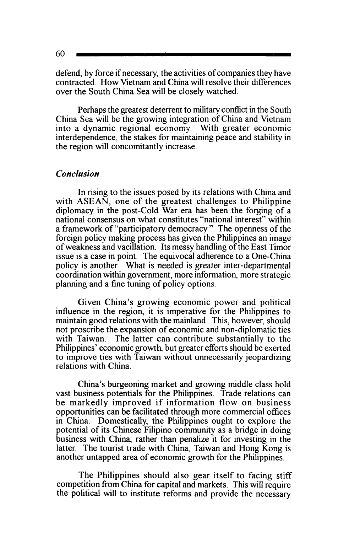defend, by force if necessary, the activities of companies they have contracted. How Vietnam and China will resolve their differences over the South China Sea will be closely watched.

Perhaps the greatest deterrent to military conflict in the South China Sea will be the growing integration of China and Vietnam into a dynamic regional economy. With greater economic interdependence, the stakes for maintaining peace and stability in the region will concomitantly increase.

### *Conclusion*

In rising to the issues posed by its relations with China and with ASEAN, one of the greatest challenges to Philippine diplomacy in the post-Cold War era has been the forging of a national consensus on what constitutes "national interest" within a framework of"participatory democracy." The openness of the foreign policy making process has given the Philippines an image of weakness and vacillation. Its messy handling of the East Timor issue is a case in point. The equivocal adherence to a One-China policy is another. What is needed is greater inter -departmental coordination within government, more information, more strategic planning and a fine tuning of policy options.

Given China's growing economic power and political influence in the region, it is imperative for the Philippines to maintain good relations with the mainland. This, however, should not proscribe the expansion of economic and non-diplomatic ties with Taiwan. The latter can contribute substantially to the Philippines' economic growth, but greater efforts should be exerted to improve ties with Taiwan without unnecessarily jeopardizing relations with China.

China's burgeoning market and growing middle class hold vast business potentials for the Philippines. Trade relations can be markedly improved if information flow on business opportunities can be facilitated through more commercial offices in China. Domestically, the Philippines ought to explore the potential of its Chinese Filipino community as a bridge in doing business with China, rather than penalize it for investing in the latter. The tourist trade with China, Taiwan and Hong Kong is another untapped area of economic growth for the Philippines.

The Philippines should also gear itself to facing stiff competition from China for capital and markets. This will require the political will to institute reforms and provide the necessary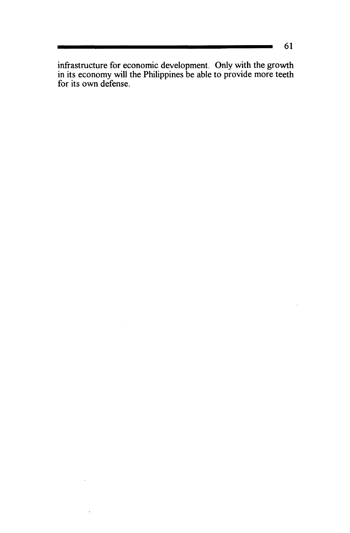infrastructure for economic development. Only with the growth in its economy will the Philippines be able to provide more teeth for its own defense.

<u> a shekara t</u>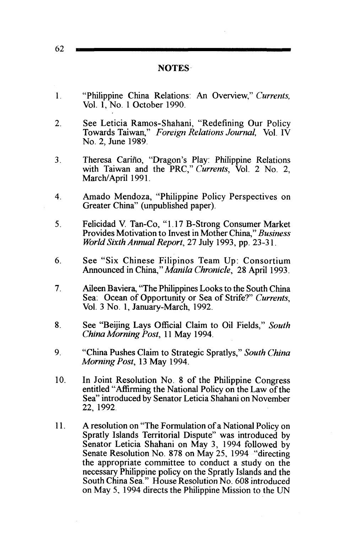| <b>NOTES</b>                                                                                                                                                                                                                                                                                                                                                                                                                                                              |
|---------------------------------------------------------------------------------------------------------------------------------------------------------------------------------------------------------------------------------------------------------------------------------------------------------------------------------------------------------------------------------------------------------------------------------------------------------------------------|
| "Philippine China Relations: An Overview," Currents,<br>Vol. 1, No. 1 October 1990.                                                                                                                                                                                                                                                                                                                                                                                       |
| See Leticia Ramos-Shahani, "Redefining Our Policy<br>Towards Taiwan," Foreign Relations Journal, Vol. IV<br>No. 2, June 1989.                                                                                                                                                                                                                                                                                                                                             |
| Theresa Cariño, "Dragon's Play: Philippine Relations<br>with Taiwan and the PRC," Currents, Vol. 2 No. 2,<br>March/April 1991.                                                                                                                                                                                                                                                                                                                                            |
| Amado Mendoza, "Philippine Policy Perspectives on<br>Greater China" (unpublished paper).                                                                                                                                                                                                                                                                                                                                                                                  |
| Felicidad V. Tan-Co, "1.17 B-Strong Consumer Market<br>Provides Motivation to Invest in Mother China," Business<br>World Sixth Annual Report, 27 July 1993, pp. 23-31.                                                                                                                                                                                                                                                                                                    |
| See "Six Chinese Filipinos Team Up: Consortium<br>Announced in China," Manila Chronicle, 28 April 1993.                                                                                                                                                                                                                                                                                                                                                                   |
| Aileen Baviera, "The Philippines Looks to the South China<br>Sea. Ocean of Opportunity or Sea of Strife?" Currents,<br>Vol. 3 No. 1, January-March, 1992.                                                                                                                                                                                                                                                                                                                 |
| See "Beijing Lays Official Claim to Oil Fields," South<br>China Morning Post, 11 May 1994.                                                                                                                                                                                                                                                                                                                                                                                |
| "China Pushes Claim to Strategic Spratlys," South China<br>Morning Post, 13 May 1994.                                                                                                                                                                                                                                                                                                                                                                                     |
| In Joint Resolution No. 8 of the Philippine Congress<br>entitled "Affirming the National Policy on the Law of the<br>Sea" introduced by Senator Leticia Shahani on November<br>22, 1992.                                                                                                                                                                                                                                                                                  |
| A resolution on "The Formulation of a National Policy on<br>Spratly Islands Territorial Dispute" was introduced by<br>Senator Leticia Shahani on May 3, 1994 followed by<br>Senate Resolution No. 878 on May 25, 1994 "directing<br>the appropriate committee to conduct a study on the<br>necessary Philippine policy on the Spratly Islands and the<br>South China Sea." House Resolution No. 608 introduced<br>on May 5, 1994 directs the Philippine Mission to the UN |